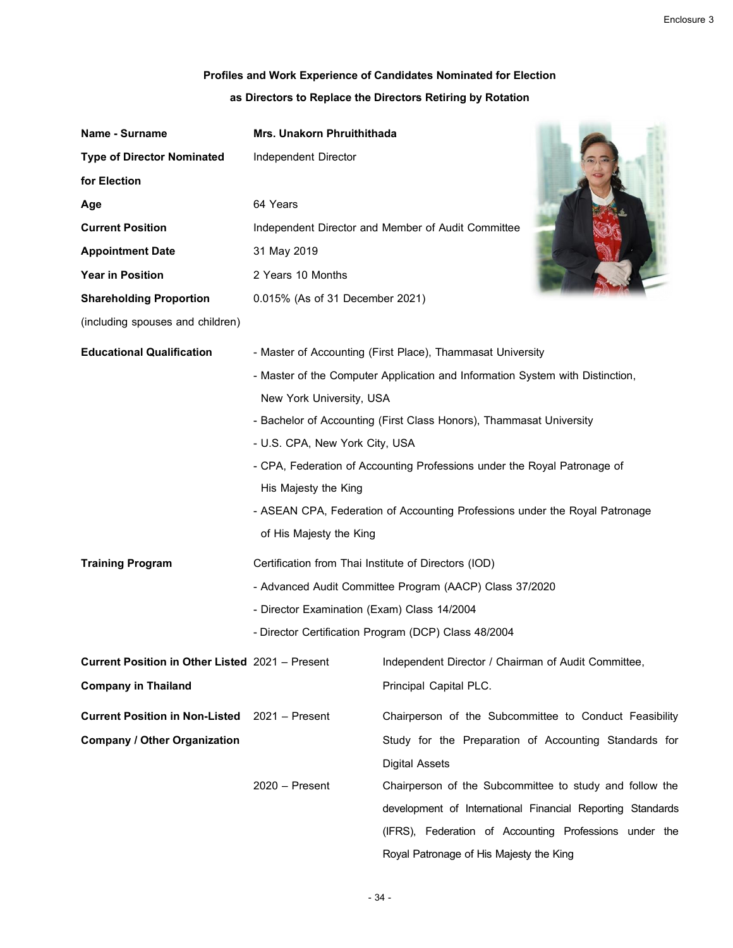## **Profiles and Work Experience of Candidates Nominated for Election**

| as Directors to Replace the Directors Retiring by Rotation |  |
|------------------------------------------------------------|--|
|------------------------------------------------------------|--|

| Name - Surname                                  | Mrs. Unakorn Phruithithada                           |                                                                               |
|-------------------------------------------------|------------------------------------------------------|-------------------------------------------------------------------------------|
| <b>Type of Director Nominated</b>               | Independent Director                                 |                                                                               |
| for Election                                    |                                                      |                                                                               |
| Age                                             | 64 Years                                             |                                                                               |
| <b>Current Position</b>                         |                                                      | Independent Director and Member of Audit Committee                            |
| <b>Appointment Date</b>                         | 31 May 2019                                          |                                                                               |
| <b>Year in Position</b>                         | 2 Years 10 Months                                    |                                                                               |
| <b>Shareholding Proportion</b>                  | 0.015% (As of 31 December 2021)                      |                                                                               |
| (including spouses and children)                |                                                      |                                                                               |
| <b>Educational Qualification</b>                |                                                      | - Master of Accounting (First Place), Thammasat University                    |
|                                                 |                                                      | - Master of the Computer Application and Information System with Distinction, |
|                                                 | New York University, USA                             |                                                                               |
|                                                 |                                                      | - Bachelor of Accounting (First Class Honors), Thammasat University           |
|                                                 | - U.S. CPA, New York City, USA                       |                                                                               |
|                                                 |                                                      | - CPA, Federation of Accounting Professions under the Royal Patronage of      |
|                                                 | His Majesty the King                                 |                                                                               |
|                                                 |                                                      | - ASEAN CPA, Federation of Accounting Professions under the Royal Patronage   |
|                                                 | of His Majesty the King                              |                                                                               |
| <b>Training Program</b>                         | Certification from Thai Institute of Directors (IOD) |                                                                               |
|                                                 |                                                      | - Advanced Audit Committee Program (AACP) Class 37/2020                       |
|                                                 | - Director Examination (Exam) Class 14/2004          |                                                                               |
|                                                 |                                                      | - Director Certification Program (DCP) Class 48/2004                          |
| Current Position in Other Listed 2021 - Present |                                                      | Independent Director / Chairman of Audit Committee,                           |
| <b>Company in Thailand</b>                      |                                                      | Principal Capital PLC.                                                        |
| <b>Current Position in Non-Listed</b>           | $2021 -$ Present                                     | Chairperson of the Subcommittee to Conduct Feasibility                        |
| <b>Company / Other Organization</b>             |                                                      | Study for the Preparation of Accounting Standards for                         |
|                                                 |                                                      | <b>Digital Assets</b>                                                         |
|                                                 | $2020 -$ Present                                     | Chairperson of the Subcommittee to study and follow the                       |
|                                                 |                                                      | development of International Financial Reporting Standards                    |
|                                                 |                                                      | (IFRS), Federation of Accounting Professions under the                        |

Royal Patronage of His Majesty the King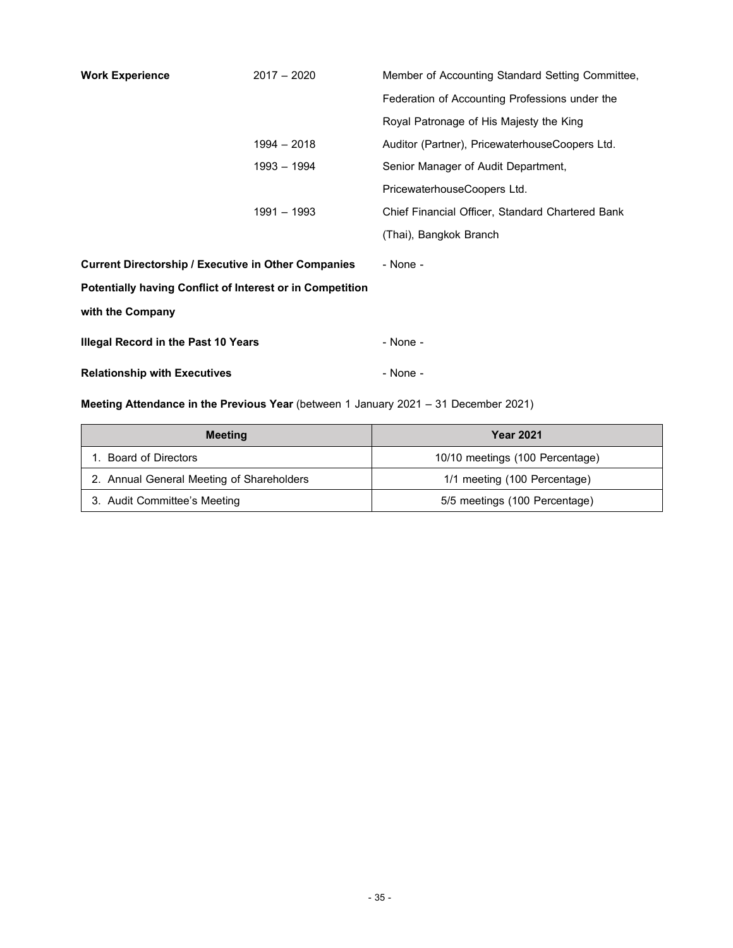| <b>Work Experience</b>                                           | $2017 - 2020$ | Member of Accounting Standard Setting Committee, |
|------------------------------------------------------------------|---------------|--------------------------------------------------|
|                                                                  |               | Federation of Accounting Professions under the   |
|                                                                  |               | Royal Patronage of His Majesty the King          |
|                                                                  | 1994 - 2018   | Auditor (Partner), PricewaterhouseCoopers Ltd.   |
|                                                                  | 1993 - 1994   | Senior Manager of Audit Department,              |
|                                                                  |               | PricewaterhouseCoopers Ltd.                      |
|                                                                  | 1991 - 1993   | Chief Financial Officer, Standard Chartered Bank |
|                                                                  |               | (Thai), Bangkok Branch                           |
| <b>Current Directorship / Executive in Other Companies</b>       |               | - None -                                         |
| <b>Potentially having Conflict of Interest or in Competition</b> |               |                                                  |
| with the Company                                                 |               |                                                  |
| <b>Illegal Record in the Past 10 Years</b>                       |               | - None -                                         |
| <b>Relationship with Executives</b>                              |               | - None -                                         |

## **Meeting Attendance in the Previous Year** (between 1 January 2021 – 31 December 2021)

| Meeting                                   | <b>Year 2021</b>                |
|-------------------------------------------|---------------------------------|
| <b>Board of Directors</b>                 | 10/10 meetings (100 Percentage) |
| 2. Annual General Meeting of Shareholders | 1/1 meeting (100 Percentage)    |
| 3. Audit Committee's Meeting              | 5/5 meetings (100 Percentage)   |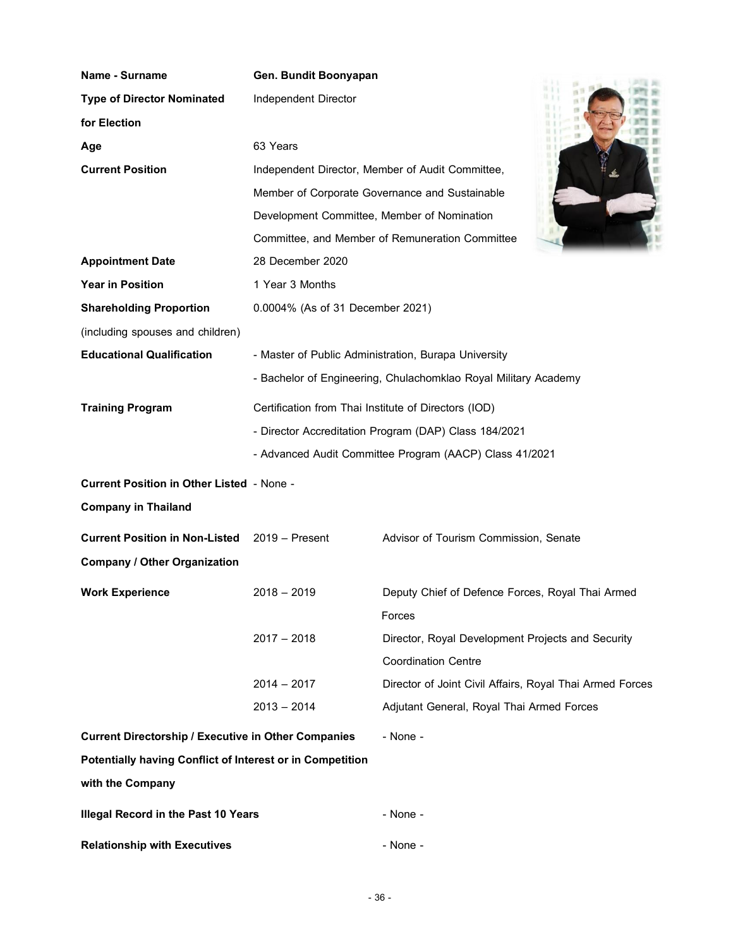| <b>Name - Surname</b>                                            | Gen. Bundit Boonyapan                                |                                                                 |  |
|------------------------------------------------------------------|------------------------------------------------------|-----------------------------------------------------------------|--|
| <b>Type of Director Nominated</b>                                | Independent Director                                 |                                                                 |  |
| for Election                                                     |                                                      |                                                                 |  |
| Age                                                              | 63 Years                                             |                                                                 |  |
| <b>Current Position</b>                                          |                                                      | Independent Director, Member of Audit Committee,                |  |
|                                                                  |                                                      | Member of Corporate Governance and Sustainable                  |  |
|                                                                  | Development Committee, Member of Nomination          |                                                                 |  |
|                                                                  |                                                      | Committee, and Member of Remuneration Committee                 |  |
| <b>Appointment Date</b>                                          | 28 December 2020                                     |                                                                 |  |
| <b>Year in Position</b>                                          | 1 Year 3 Months                                      |                                                                 |  |
| <b>Shareholding Proportion</b>                                   | 0.0004% (As of 31 December 2021)                     |                                                                 |  |
| (including spouses and children)                                 |                                                      |                                                                 |  |
| <b>Educational Qualification</b>                                 |                                                      | - Master of Public Administration, Burapa University            |  |
|                                                                  |                                                      | - Bachelor of Engineering, Chulachomklao Royal Military Academy |  |
| <b>Training Program</b>                                          | Certification from Thai Institute of Directors (IOD) |                                                                 |  |
|                                                                  |                                                      | - Director Accreditation Program (DAP) Class 184/2021           |  |
|                                                                  |                                                      | - Advanced Audit Committee Program (AACP) Class 41/2021         |  |
| <b>Current Position in Other Listed - None -</b>                 |                                                      |                                                                 |  |
| <b>Company in Thailand</b>                                       |                                                      |                                                                 |  |
| <b>Current Position in Non-Listed</b>                            | $2019 -$ Present                                     | Advisor of Tourism Commission, Senate                           |  |
| <b>Company / Other Organization</b>                              |                                                      |                                                                 |  |
| <b>Work Experience</b>                                           | $2018 - 2019$                                        | Deputy Chief of Defence Forces, Royal Thai Armed                |  |
|                                                                  |                                                      | Forces                                                          |  |
|                                                                  | $2017 - 2018$                                        | Director, Royal Development Projects and Security               |  |
|                                                                  |                                                      | <b>Coordination Centre</b>                                      |  |
|                                                                  | $2014 - 2017$                                        | Director of Joint Civil Affairs, Royal Thai Armed Forces        |  |
|                                                                  | $2013 - 2014$                                        | Adjutant General, Royal Thai Armed Forces                       |  |
| <b>Current Directorship / Executive in Other Companies</b>       |                                                      | - None -                                                        |  |
| <b>Potentially having Conflict of Interest or in Competition</b> |                                                      |                                                                 |  |
| with the Company                                                 |                                                      |                                                                 |  |
| <b>Illegal Record in the Past 10 Years</b>                       |                                                      | - None -                                                        |  |
| <b>Relationship with Executives</b>                              |                                                      | - None -                                                        |  |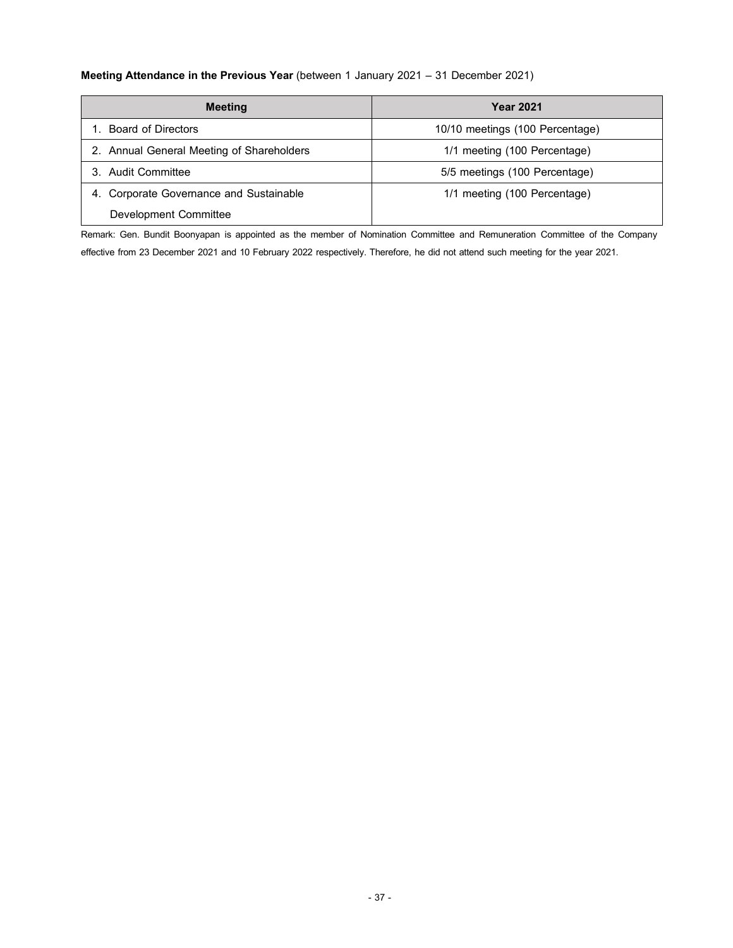## **Meeting Attendance in the Previous Year** (between 1 January 2021 – 31 December 2021)

| <b>Meeting</b>                             | <b>Year 2021</b>                |
|--------------------------------------------|---------------------------------|
| <b>Board of Directors</b>                  | 10/10 meetings (100 Percentage) |
| 2. Annual General Meeting of Shareholders  | 1/1 meeting (100 Percentage)    |
| Audit Committee                            | 5/5 meetings (100 Percentage)   |
| Corporate Governance and Sustainable<br>4. | 1/1 meeting (100 Percentage)    |
| Development Committee                      |                                 |

Remark: Gen. Bundit Boonyapan is appointed as the member of Nomination Committee and Remuneration Committee of the Company

effective from 23 December 2021 and 10 February 2022 respectively. Therefore, he did not attend such meeting for the year 2021.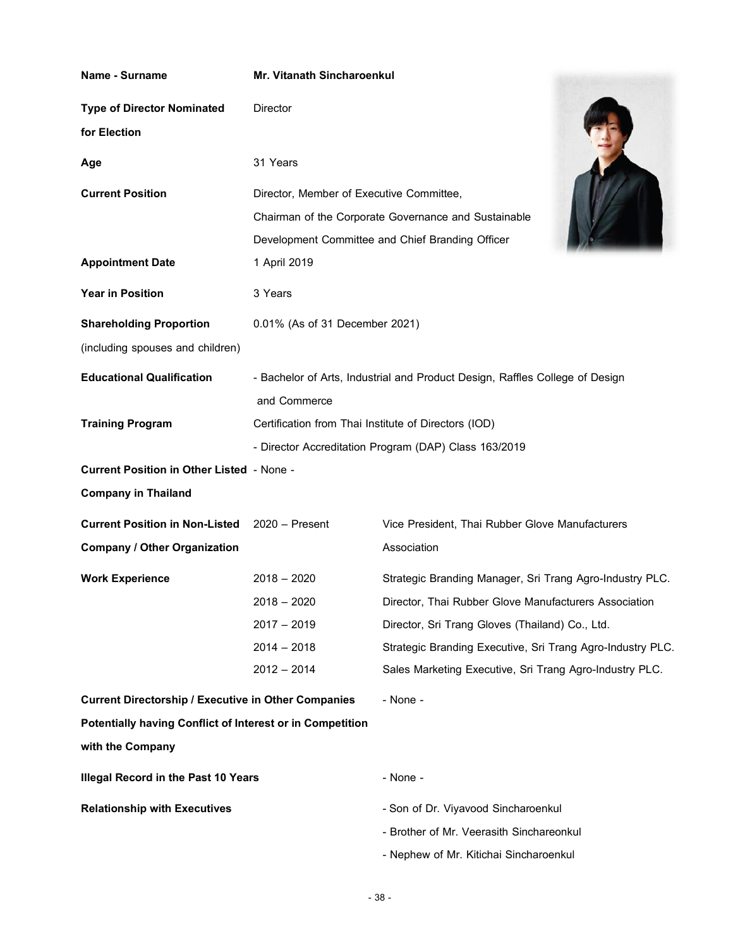| <b>Name - Surname</b>                                      | <b>Mr. Vitanath Sincharoenkul</b>                    |                                                                                                          |
|------------------------------------------------------------|------------------------------------------------------|----------------------------------------------------------------------------------------------------------|
| <b>Type of Director Nominated</b><br>for Election          | <b>Director</b>                                      |                                                                                                          |
| Age                                                        | 31 Years                                             |                                                                                                          |
| <b>Current Position</b>                                    | Director, Member of Executive Committee,             | Chairman of the Corporate Governance and Sustainable<br>Development Committee and Chief Branding Officer |
| <b>Appointment Date</b>                                    | 1 April 2019                                         |                                                                                                          |
| <b>Year in Position</b>                                    | 3 Years                                              |                                                                                                          |
| <b>Shareholding Proportion</b>                             | 0.01% (As of 31 December 2021)                       |                                                                                                          |
| (including spouses and children)                           |                                                      |                                                                                                          |
| <b>Educational Qualification</b>                           |                                                      | - Bachelor of Arts, Industrial and Product Design, Raffles College of Design                             |
|                                                            | and Commerce                                         |                                                                                                          |
| <b>Training Program</b>                                    | Certification from Thai Institute of Directors (IOD) |                                                                                                          |
|                                                            |                                                      | - Director Accreditation Program (DAP) Class 163/2019                                                    |
| <b>Current Position in Other Listed - None -</b>           |                                                      |                                                                                                          |
| <b>Company in Thailand</b>                                 |                                                      |                                                                                                          |
| <b>Current Position in Non-Listed</b>                      | $2020 -$ Present                                     | Vice President, Thai Rubber Glove Manufacturers                                                          |
| <b>Company / Other Organization</b>                        |                                                      | Association                                                                                              |
| <b>Work Experience</b>                                     | $2018 - 2020$                                        | Strategic Branding Manager, Sri Trang Agro-Industry PLC.                                                 |
|                                                            | $2018 - 2020$                                        | Director, Thai Rubber Glove Manufacturers Association                                                    |
|                                                            | $2017 - 2019$                                        | Director, Sri Trang Gloves (Thailand) Co., Ltd.                                                          |
|                                                            | $2014 - 2018$                                        | Strategic Branding Executive, Sri Trang Agro-Industry PLC.                                               |
|                                                            | $2012 - 2014$                                        | Sales Marketing Executive, Sri Trang Agro-Industry PLC.                                                  |
| <b>Current Directorship / Executive in Other Companies</b> |                                                      | - None -                                                                                                 |
| Potentially having Conflict of Interest or in Competition  |                                                      |                                                                                                          |
| with the Company                                           |                                                      |                                                                                                          |
| Illegal Record in the Past 10 Years                        |                                                      | - None -                                                                                                 |
| <b>Relationship with Executives</b>                        |                                                      | - Son of Dr. Viyavood Sincharoenkul                                                                      |
|                                                            |                                                      | - Brother of Mr. Veerasith Sinchareonkul                                                                 |
|                                                            |                                                      | - Nephew of Mr. Kitichai Sincharoenkul                                                                   |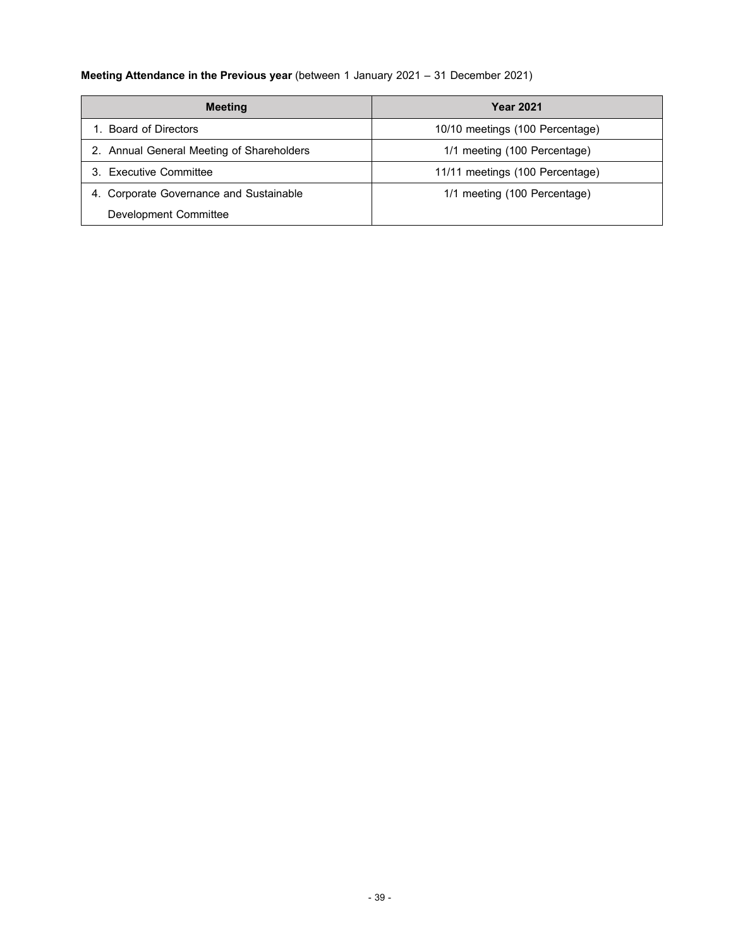## **Meeting Attendance in the Previous year** (between 1 January 2021 – 31 December 2021)

| <b>Meeting</b>                            | <b>Year 2021</b>                |
|-------------------------------------------|---------------------------------|
| <b>Board of Directors</b>                 | 10/10 meetings (100 Percentage) |
| 2. Annual General Meeting of Shareholders | 1/1 meeting (100 Percentage)    |
| 3. Executive Committee                    | 11/11 meetings (100 Percentage) |
| 4. Corporate Governance and Sustainable   | 1/1 meeting (100 Percentage)    |
| Development Committee                     |                                 |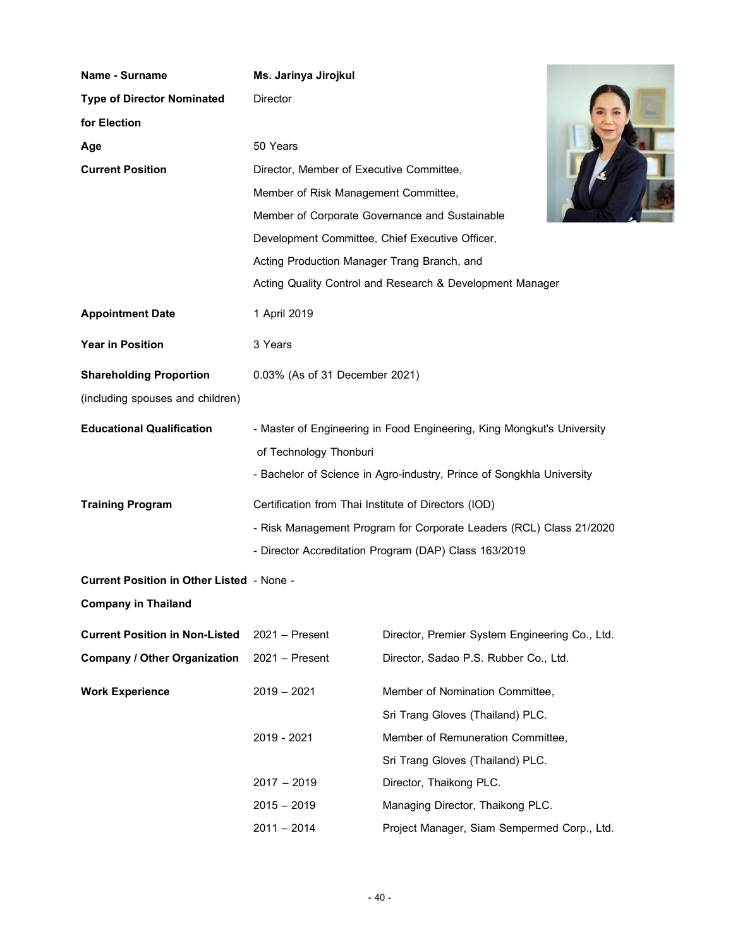| Name - Surname                                   | Ms. Jarinya Jirojkul                                 |                                                                        |  |
|--------------------------------------------------|------------------------------------------------------|------------------------------------------------------------------------|--|
| <b>Type of Director Nominated</b>                | <b>Director</b>                                      |                                                                        |  |
| for Election                                     |                                                      |                                                                        |  |
| Age                                              | 50 Years                                             |                                                                        |  |
| <b>Current Position</b>                          | Director, Member of Executive Committee,             |                                                                        |  |
|                                                  | Member of Risk Management Committee,                 |                                                                        |  |
|                                                  |                                                      | Member of Corporate Governance and Sustainable                         |  |
|                                                  | Development Committee, Chief Executive Officer,      |                                                                        |  |
|                                                  | Acting Production Manager Trang Branch, and          |                                                                        |  |
|                                                  |                                                      | Acting Quality Control and Research & Development Manager              |  |
| <b>Appointment Date</b>                          | 1 April 2019                                         |                                                                        |  |
| <b>Year in Position</b>                          | 3 Years                                              |                                                                        |  |
| <b>Shareholding Proportion</b>                   | 0.03% (As of 31 December 2021)                       |                                                                        |  |
| (including spouses and children)                 |                                                      |                                                                        |  |
| <b>Educational Qualification</b>                 |                                                      | - Master of Engineering in Food Engineering, King Mongkut's University |  |
|                                                  | of Technology Thonburi                               |                                                                        |  |
|                                                  |                                                      | - Bachelor of Science in Agro-industry, Prince of Songkhla University  |  |
| <b>Training Program</b>                          | Certification from Thai Institute of Directors (IOD) |                                                                        |  |
|                                                  |                                                      | - Risk Management Program for Corporate Leaders (RCL) Class 21/2020    |  |
|                                                  |                                                      | - Director Accreditation Program (DAP) Class 163/2019                  |  |
| <b>Current Position in Other Listed - None -</b> |                                                      |                                                                        |  |
| <b>Company in Thailand</b>                       |                                                      |                                                                        |  |
| <b>Current Position in Non-Listed</b>            | $2021 -$ Present                                     | Director, Premier System Engineering Co., Ltd.                         |  |
| <b>Company / Other Organization</b>              | $2021 -$ Present                                     | Director, Sadao P.S. Rubber Co., Ltd.                                  |  |
| <b>Work Experience</b>                           | $2019 - 2021$                                        | Member of Nomination Committee,                                        |  |
|                                                  |                                                      | Sri Trang Gloves (Thailand) PLC.                                       |  |
|                                                  | 2019 - 2021                                          | Member of Remuneration Committee,                                      |  |
|                                                  |                                                      | Sri Trang Gloves (Thailand) PLC.                                       |  |
|                                                  | $2017 - 2019$                                        | Director, Thaikong PLC.                                                |  |
|                                                  | $2015 - 2019$                                        | Managing Director, Thaikong PLC.                                       |  |
|                                                  | $2011 - 2014$                                        | Project Manager, Siam Sempermed Corp., Ltd.                            |  |